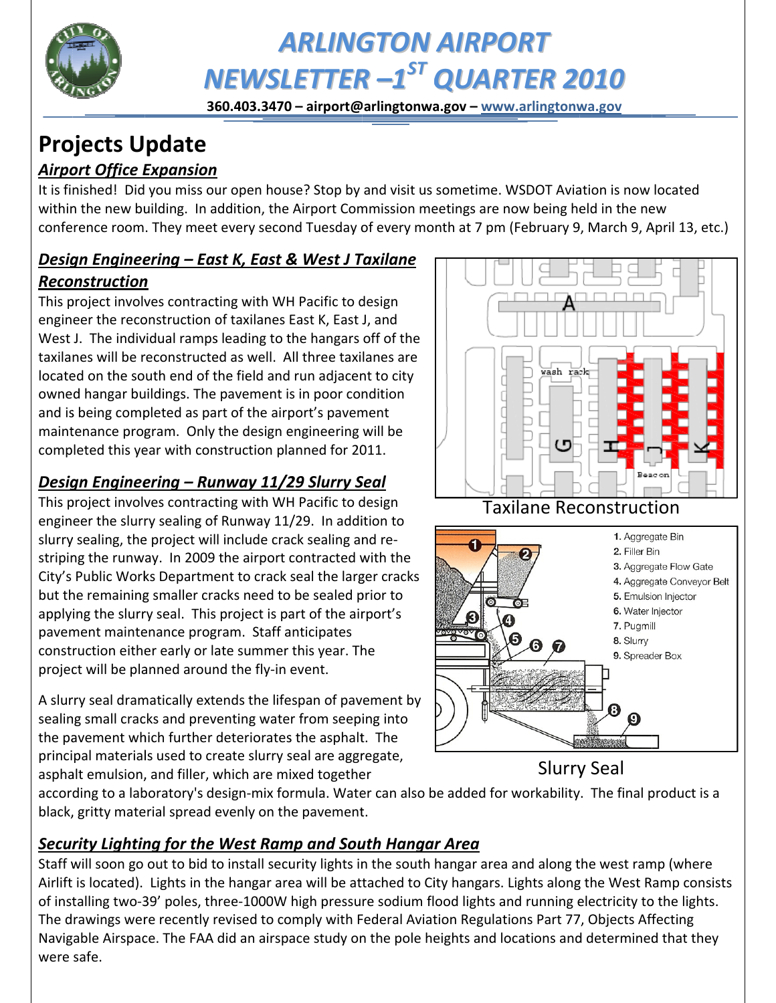

# **ARLINGTON AIRPORT** NEWSLETTER -1<sup>ST</sup> QUARTER 2010

360.403.3470 - airport@arlingtonwa.gov - www.arlingtonwa.gov

# **Projects Update**

# **Airport Office Expansion**

It is finished! Did you miss our open house? Stop by and visit us sometime. WSDOT Aviation is now located within the new building. In addition, the Airport Commission meetings are now being held in the new conference room. They meet every second Tuesday of every month at 7 pm (February 9, March 9, April 13, etc.)

#### Design Engineering – East K, East & West J Taxilane **Reconstruction**

This project involves contracting with WH Pacific to design engineer the reconstruction of taxilanes East K, East J, and West J. The individual ramps leading to the hangars off of the taxilanes will be reconstructed as well. All three taxilanes are located on the south end of the field and run adjacent to city owned hangar buildings. The pavement is in poor condition and is being completed as part of the airport's pavement maintenance program. Only the design engineering will be completed this year with construction planned for 2011.

# Design Engineering – Runway 11/29 Slurry Seal

This project involves contracting with WH Pacific to design engineer the slurry sealing of Runway 11/29. In addition to slurry sealing, the project will include crack sealing and restriping the runway. In 2009 the airport contracted with the City's Public Works Department to crack seal the larger cracks but the remaining smaller cracks need to be sealed prior to applying the slurry seal. This project is part of the airport's pavement maintenance program. Staff anticipates construction either early or late summer this year. The project will be planned around the fly-in event.

A slurry seal dramatically extends the lifespan of pavement by sealing small cracks and preventing water from seeping into the pavement which further deteriorates the asphalt. The principal materials used to create slurry seal are aggregate, asphalt emulsion, and filler, which are mixed together



according to a laboratory's design-mix formula. Water can also be added for workability. The final product is a black, gritty material spread evenly on the pavement.

# Security Lighting for the West Ramp and South Hangar Area

Staff will soon go out to bid to install security lights in the south hangar area and along the west ramp (where Airlift is located). Lights in the hangar area will be attached to City hangars. Lights along the West Ramp consists of installing two-39' poles, three-1000W high pressure sodium flood lights and running electricity to the lights. The drawings were recently revised to comply with Federal Aviation Regulations Part 77, Objects Affecting Navigable Airspace. The FAA did an airspace study on the pole heights and locations and determined that they were safe.